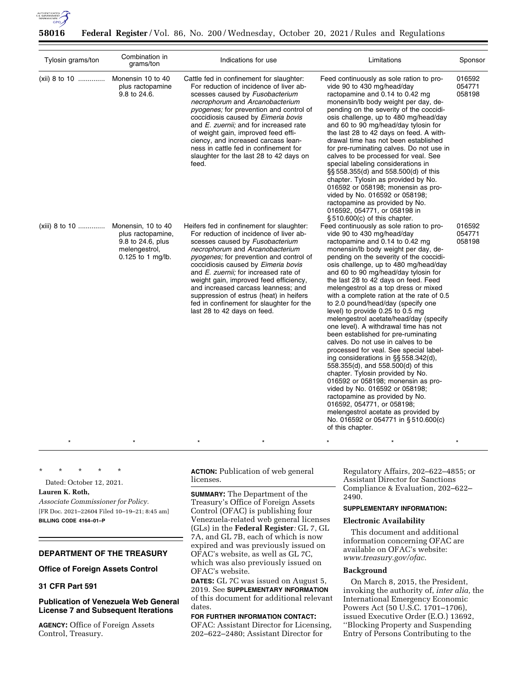

| Tylosin grams/ton | Combination in<br>grams/ton                                                                          | Indications for use                                                                                                                                                                                                                                                                                                                                                                                                                                                                                 | Limitations                                                                                                                                                                                                                                                                                                                                                                                                                                                                                                                                                                                                                                                                                                                                                                                                                                                                                                                                                                                                                                                                                                                                                                                                                                                                                                                                                                                                                                                                                                                                                                                                                                                                                                                                                                                                          | Sponsor                    |
|-------------------|------------------------------------------------------------------------------------------------------|-----------------------------------------------------------------------------------------------------------------------------------------------------------------------------------------------------------------------------------------------------------------------------------------------------------------------------------------------------------------------------------------------------------------------------------------------------------------------------------------------------|----------------------------------------------------------------------------------------------------------------------------------------------------------------------------------------------------------------------------------------------------------------------------------------------------------------------------------------------------------------------------------------------------------------------------------------------------------------------------------------------------------------------------------------------------------------------------------------------------------------------------------------------------------------------------------------------------------------------------------------------------------------------------------------------------------------------------------------------------------------------------------------------------------------------------------------------------------------------------------------------------------------------------------------------------------------------------------------------------------------------------------------------------------------------------------------------------------------------------------------------------------------------------------------------------------------------------------------------------------------------------------------------------------------------------------------------------------------------------------------------------------------------------------------------------------------------------------------------------------------------------------------------------------------------------------------------------------------------------------------------------------------------------------------------------------------------|----------------------------|
| $(xii)$ 8 to 10   | Monensin 10 to 40<br>plus ractopamine<br>9.8 to 24.6.                                                | Cattle fed in confinement for slaughter:<br>For reduction of incidence of liver ab-<br>scesses caused by Fusobacterium<br>necrophorum and Arcanobacterium<br>pyogenes; for prevention and control of<br>coccidiosis caused by Eimeria bovis<br>and E. zuernii; and for increased rate<br>of weight gain, improved feed effi-<br>ciency, and increased carcass lean-<br>ness in cattle fed in confinement for<br>slaughter for the last 28 to 42 days on<br>feed.                                    | Feed continuously as sole ration to pro-<br>vide 90 to 430 mg/head/day<br>ractopamine and 0.14 to 0.42 mg<br>monensin/lb body weight per day, de-<br>pending on the severity of the coccidi-<br>osis challenge, up to 480 mg/head/day<br>and 60 to 90 mg/head/day tylosin for<br>the last 28 to 42 days on feed. A with-<br>drawal time has not been established<br>for pre-ruminating calves. Do not use in<br>calves to be processed for veal. See<br>special labeling considerations in<br>§§ 558.355(d) and 558.500(d) of this<br>chapter. Tylosin as provided by No.<br>016592 or 058198; monensin as pro-<br>vided by No. 016592 or 058198;<br>ractopamine as provided by No.<br>016592, 054771, or 058198 in<br>$§ 510.600(c)$ of this chapter.<br>Feed continuously as sole ration to pro-<br>vide 90 to 430 mg/head/day<br>ractopamine and 0.14 to 0.42 mg<br>monensin/lb body weight per day, de-<br>pending on the severity of the coccidi-<br>osis challenge, up to 480 mg/head/day<br>and 60 to 90 mg/head/day tylosin for<br>the last 28 to 42 days on feed. Feed<br>melengestrol as a top dress or mixed<br>with a complete ration at the rate of 0.5<br>to 2.0 pound/head/day (specify one<br>level) to provide 0.25 to 0.5 mg<br>melengestrol acetate/head/day (specify<br>one level). A withdrawal time has not<br>been established for pre-ruminating<br>calves. Do not use in calves to be<br>processed for veal. See special label-<br>ing considerations in §§ 558.342(d),<br>558.355(d), and 558.500(d) of this<br>chapter. Tylosin provided by No.<br>016592 or 058198; monensin as pro-<br>vided by No. 016592 or 058198;<br>ractopamine as provided by No.<br>016592, 054771, or 058198;<br>melengestrol acetate as provided by<br>No. 016592 or 054771 in §510.600(c)<br>of this chapter. | 016592<br>054771<br>058198 |
| (xiii) 8 to 10    | Monensin, 10 to 40<br>plus ractopamine,<br>9.8 to 24.6, plus<br>melengestrol,<br>$0.125$ to 1 mg/lb. | Heifers fed in confinement for slaughter:<br>For reduction of incidence of liver ab-<br>scesses caused by Fusobacterium<br>necrophorum and Arcanobacterium<br><i>pyogenes;</i> for prevention and control of<br>coccidiosis caused by Eimeria bovis<br>and E. zuernii; for increased rate of<br>weight gain, improved feed efficiency,<br>and increased carcass leanness; and<br>suppression of estrus (heat) in heifers<br>fed in confinement for slaughter for the<br>last 28 to 42 days on feed. |                                                                                                                                                                                                                                                                                                                                                                                                                                                                                                                                                                                                                                                                                                                                                                                                                                                                                                                                                                                                                                                                                                                                                                                                                                                                                                                                                                                                                                                                                                                                                                                                                                                                                                                                                                                                                      | 016592<br>054771<br>058198 |

\* \* \* \* \*

Dated: October 12, 2021.

**Lauren K. Roth,** 

*Associate Commissioner for Policy.*  [FR Doc. 2021–22604 Filed 10–19–21; 8:45 am] **BILLING CODE 4164–01–P** 

# **DEPARTMENT OF THE TREASURY**

# **Office of Foreign Assets Control**

# **31 CFR Part 591**

# **Publication of Venezuela Web General License 7 and Subsequent Iterations**

**AGENCY:** Office of Foreign Assets Control, Treasury.

**ACTION:** Publication of web general licenses.

\* \* \* \* \* \* \* \* \* \* \* \* \* \* \*

**SUMMARY:** The Department of the Treasury's Office of Foreign Assets Control (OFAC) is publishing four Venezuela-related web general licenses (GLs) in the **Federal Register***:* GL 7, GL 7A, and GL 7B, each of which is now expired and was previously issued on OFAC's website, as well as GL 7C, which was also previously issued on OFAC's website.

**DATES:** GL 7C was issued on August 5, 2019. See **SUPPLEMENTARY INFORMATION** of this document for additional relevant dates.

## **FOR FURTHER INFORMATION CONTACT:**  OFAC: Assistant Director for Licensing, 202–622–2480; Assistant Director for

Regulatory Affairs, 202–622–4855; or Assistant Director for Sanctions Compliance & Evaluation, 202–622– 2490.

# **SUPPLEMENTARY INFORMATION:**

# **Electronic Availability**

This document and additional information concerning OFAC are available on OFAC's website: *[www.treasury.gov/ofac](http://www.treasury.gov/ofac)*.

### **Background**

On March 8, 2015, the President, invoking the authority of, *inter alia,* the International Emergency Economic Powers Act (50 U.S.C. 1701–1706), issued Executive Order (E.O.) 13692, ''Blocking Property and Suspending Entry of Persons Contributing to the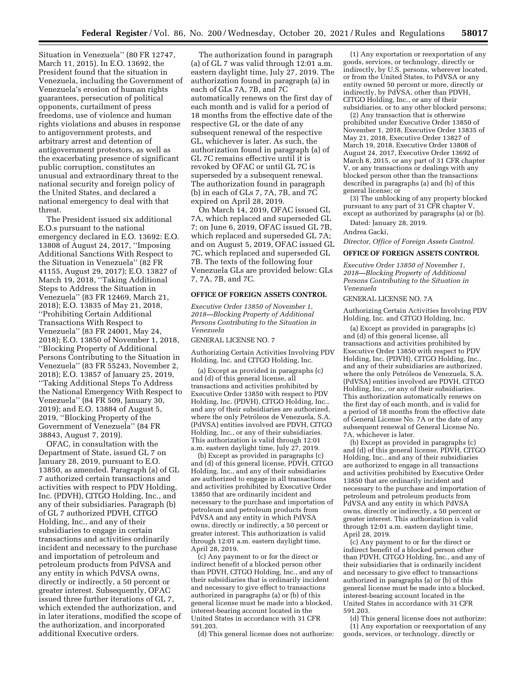Situation in Venezuela'' (80 FR 12747, March 11, 2015). In E.O. 13692, the President found that the situation in Venezuela, including the Government of Venezuela's erosion of human rights guarantees, persecution of political opponents, curtailment of press freedoms, use of violence and human rights violations and abuses in response to antigovernment protests, and arbitrary arrest and detention of antigovernment protestors, as well as the exacerbating presence of significant public corruption, constitutes an unusual and extraordinary threat to the national security and foreign policy of the United States, and declared a national emergency to deal with that threat.

The President issued six additional E.O.s pursuant to the national emergency declared in E.O. 13692: E.O. 13808 of August 24, 2017, ''Imposing Additional Sanctions With Respect to the Situation in Venezuela'' (82 FR 41155, August 29, 2017); E.O. 13827 of March 19, 2018, ''Taking Additional Steps to Address the Situation in Venezuela'' (83 FR 12469, March 21, 2018); E.O. 13835 of May 21, 2018, ''Prohibiting Certain Additional Transactions With Respect to Venezuela'' (83 FR 24001, May 24, 2018); E.O. 13850 of November 1, 2018, ''Blocking Property of Additional Persons Contributing to the Situation in Venezuela'' (83 FR 55243, November 2, 2018); E.O. 13857 of January 25, 2019, ''Taking Additional Steps To Address the National Emergency With Respect to Venezuela'' (84 FR 509, January 30, 2019); and E.O. 13884 of August 5, 2019, ''Blocking Property of the Government of Venezuela'' (84 FR 38843, August 7, 2019).

OFAC, in consultation with the Department of State, issued GL 7 on January 28, 2019, pursuant to E.O. 13850, as amended. Paragraph (a) of GL 7 authorized certain transactions and activities with respect to PDV Holding, Inc. (PDVH), CITGO Holding, Inc., and any of their subsidiaries. Paragraph (b) of GL 7 authorized PDVH, CITGO Holding, Inc., and any of their subsidiaries to engage in certain transactions and activities ordinarily incident and necessary to the purchase and importation of petroleum and petroleum products from PdVSA and any entity in which PdVSA owns, directly or indirectly, a 50 percent or greater interest. Subsequently, OFAC issued three further iterations of GL 7, which extended the authorization, and in later iterations, modified the scope of the authorization, and incorporated additional Executive orders.

The authorization found in paragraph (a) of GL 7 was valid through 12:01 a.m. eastern daylight time, July 27, 2019. The authorization found in paragraph (a) in each of GLs 7A, 7B, and 7C automatically renews on the first day of each month and is valid for a period of 18 months from the effective date of the respective GL or the date of any subsequent renewal of the respective GL, whichever is later. As such, the authorization found in paragraph (a) of GL 7C remains effective until it is revoked by OFAC or until GL 7C is superseded by a subsequent renewal. The authorization found in paragraph (b) in each of GLs 7, 7A, 7B, and 7C expired on April 28, 2019.

On March 14, 2019, OFAC issued GL 7A, which replaced and superseded GL 7; on June 6, 2019, OFAC issued GL 7B, which replaced and superseded GL 7A; and on August 5, 2019, OFAC issued GL 7C, which replaced and superseded GL 7B. The texts of the following four Venezuela GLs are provided below: GLs 7, 7A, 7B, and 7C.

## **OFFICE OF FOREIGN ASSETS CONTROL**

*Executive Order 13850 of November 1, 2018—Blocking Property of Additional Persons Contributing to the Situation in Venezuela* 

GENERAL LICENSE NO. 7

Authorizing Certain Activities Involving PDV Holding, Inc. and CITGO Holding, Inc.

(a) Except as provided in paragraphs (c) and (d) of this general license, all transactions and activities prohibited by Executive Order 13850 with respect to PDV Holding, Inc. (PDVH), CITGO Holding, Inc., and any of their subsidiaries are authorized, where the only Petróleos de Venezuela, S.A. (PdVSA) entities involved are PDVH, CITGO Holding, Inc., or any of their subsidiaries. This authorization is valid through 12:01 a.m. eastern daylight time, July 27, 2019.

(b) Except as provided in paragraphs (c) and (d) of this general license, PDVH, CITGO Holding, Inc., and any of their subsidiaries are authorized to engage in all transactions and activities prohibited by Executive Order 13850 that are ordinarily incident and necessary to the purchase and importation of petroleum and petroleum products from PdVSA and any entity in which PdVSA owns, directly or indirectly, a 50 percent or greater interest. This authorization is valid through 12:01 a.m. eastern daylight time, April 28, 2019.

(c) Any payment to or for the direct or indirect benefit of a blocked person other than PDVH, CITGO Holding, Inc., and any of their subsidiaries that is ordinarily incident and necessary to give effect to transactions authorized in paragraphs (a) or (b) of this general license must be made into a blocked, interest-bearing account located in the United States in accordance with 31 CFR 591.203.

(d) This general license does not authorize:

(1) Any exportation or reexportation of any goods, services, or technology, directly or indirectly, by U.S. persons, wherever located, or from the United States, to PdVSA or any entity owned 50 percent or more, directly or indirectly, by PdVSA, other than PDVH, CITGO Holding, Inc., or any of their subsidiaries, or to any other blocked persons;

(2) Any transaction that is otherwise prohibited under Executive Order 13850 of November 1, 2018, Executive Order 13835 of May 21, 2018, Executive Order 13827 of March 19, 2018, Executive Order 13808 of August 24, 2017, Executive Order 13692 of March 8, 2015, or any part of 31 CFR chapter V, or any transactions or dealings with any blocked person other than the transactions described in paragraphs (a) and (b) of this general license; or

(3) The unblocking of any property blocked pursuant to any part of 31 CFR chapter V, except as authorized by paragraphs (a) or (b).

Dated: January 28, 2019.

Andrea Gacki,

*Director, Office of Foreign Assets Control.* 

**OFFICE OF FOREIGN ASSETS CONTROL** 

*Executive Order 13850 of November 1, 2018—Blocking Property of Additional Persons Contributing to the Situation in Venezuela* 

GENERAL LICENSE NO. 7A

Authorizing Certain Activities Involving PDV Holding, Inc. and CITGO Holding, Inc.

(a) Except as provided in paragraphs (c) and (d) of this general license, all transactions and activities prohibited by Executive Order 13850 with respect to PDV Holding, Inc. (PDVH), CITGO Holding, Inc., and any of their subsidiaries are authorized, where the only Petróleos de Venezuela, S.A. (PdVSA) entities involved are PDVH, CITGO Holding, Inc., or any of their subsidiaries. This authorization automatically renews on the first day of each month, and is valid for a period of 18 months from the effective date of General License No. 7A or the date of any subsequent renewal of General License No. 7A, whichever is later.

(b) Except as provided in paragraphs (c) and (d) of this general license, PDVH, CITGO Holding, Inc., and any of their subsidiaries are authorized to engage in all transactions and activities prohibited by Executive Order 13850 that are ordinarily incident and necessary to the purchase and importation of petroleum and petroleum products from PdVSA and any entity in which PdVSA owns, directly or indirectly, a 50 percent or greater interest. This authorization is valid through 12:01 a.m. eastern daylight time, April 28, 2019.

(c) Any payment to or for the direct or indirect benefit of a blocked person other than PDVH, CITGO Holding, Inc., and any of their subsidiaries that is ordinarily incident and necessary to give effect to transactions authorized in paragraphs (a) or (b) of this general license must be made into a blocked, interest-bearing account located in the United States in accordance with 31 CFR 591.203.

(d) This general license does not authorize: (1) Any exportation or reexportation of any goods, services, or technology, directly or